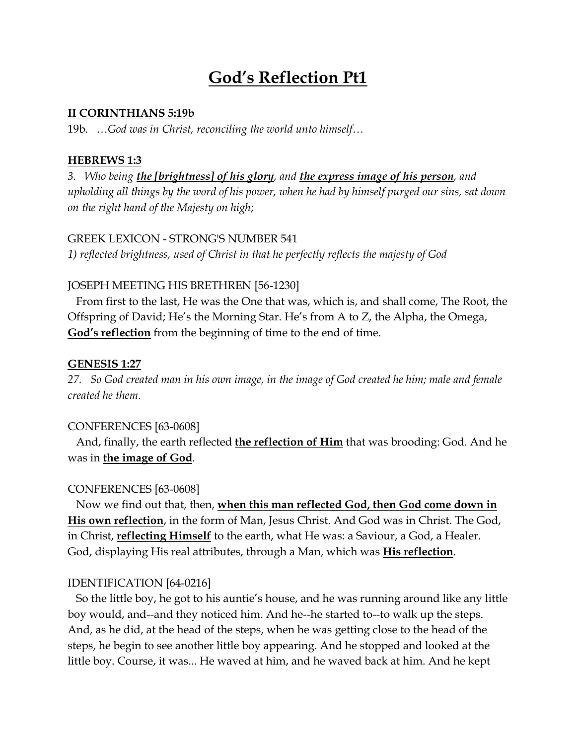# **God's Reflection Pt1**

#### **II CORINTHIANS 5:19b**

19b. *…God was in Christ, reconciling the world unto himself…*

# **HEBREWS 1:3**

*3. Who being the [brightness] of his glory, and the express image of his person, and upholding all things by the word of his power, when he had by himself purged our sins, sat down on the right hand of the Majesty on high*;

## GREEK LEXICON - STRONG'S NUMBER 541

*1) reflected brightness, used of Christ in that he perfectly reflects the majesty of God*

# JOSEPH MEETING HIS BRETHREN [56-1230]

 From first to the last, He was the One that was, which is, and shall come, The Root, the Offspring of David; He's the Morning Star. He's from A to Z, the Alpha, the Omega, **God's reflection** from the beginning of time to the end of time.

# **GENESIS 1:27**

*27. So God created man in his own image, in the image of God created he him; male and female created he them*.

# CONFERENCES [63-0608]

 And, finally, the earth reflected **the reflection of Him** that was brooding: God. And he was in **the image of God**.

# CONFERENCES [63-0608]

 Now we find out that, then, **when this man reflected God, then God come down in His own reflection**, in the form of Man, Jesus Christ. And God was in Christ. The God, in Christ, **reflecting Himself** to the earth, what He was: a Saviour, a God, a Healer. God, displaying His real attributes, through a Man, which was **His reflection**.

# IDENTIFICATION [64-0216]

 So the little boy, he got to his auntie's house, and he was running around like any little boy would, and--and they noticed him. And he--he started to--to walk up the steps. And, as he did, at the head of the steps, when he was getting close to the head of the steps, he begin to see another little boy appearing. And he stopped and looked at the little boy. Course, it was... He waved at him, and he waved back at him. And he kept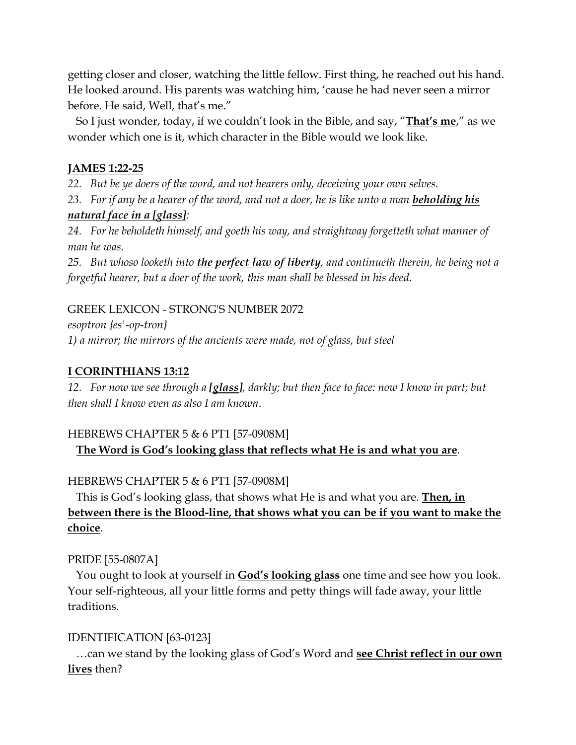getting closer and closer, watching the little fellow. First thing, he reached out his hand. He looked around. His parents was watching him, 'cause he had never seen a mirror before. He said, Well, that's me."

 So I just wonder, today, if we couldn't look in the Bible, and say, "**That's me**," as we wonder which one is it, which character in the Bible would we look like.

# **JAMES 1:22-25**

*22. But be ye doers of the word, and not hearers only, deceiving your own selves.*

*23. For if any be a hearer of the word, and not a doer, he is like unto a man beholding his natural face in a [glass]:*

*24. For he beholdeth himself, and goeth his way, and straightway forgetteth what manner of man he was.*

*25. But whoso looketh into the perfect law of liberty, and continueth therein, he being not a forgetful hearer, but a doer of the work, this man shall be blessed in his deed*.

## GREEK LEXICON - STRONG'S NUMBER 2072

*esoptron {es'-op-tron} 1) a mirror; the mirrors of the ancients were made, not of glass, but steel*

## **I CORINTHIANS 13:12**

*12. For now we see through a [glass], darkly; but then face to face: now I know in part; but then shall I know even as also I am known*.

# HEBREWS CHAPTER 5 & 6 PT1 [57-0908M] **The Word is God's looking glass that reflects what He is and what you are**.

# HEBREWS CHAPTER 5 & 6 PT1 [57-0908M]

 This is God's looking glass, that shows what He is and what you are. **Then, in between there is the Blood-line, that shows what you can be if you want to make the choice**.

# PRIDE [55-0807A]

 You ought to look at yourself in **God's looking glass** one time and see how you look. Your self-righteous, all your little forms and petty things will fade away, your little traditions.

#### IDENTIFICATION [63-0123]

 …can we stand by the looking glass of God's Word and **see Christ reflect in our own lives** then?